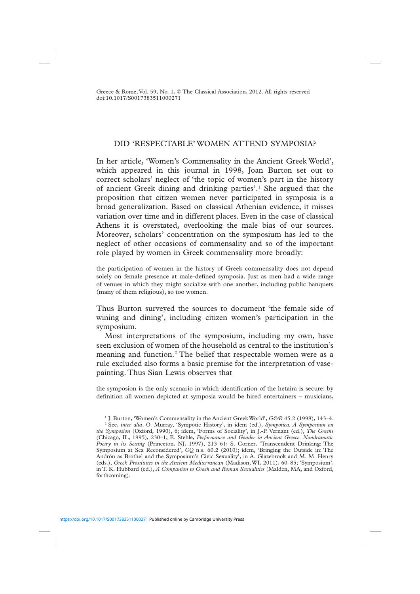## DID 'RESPECTABLE' WOMEN ATTEND SYMPOSIA?

In her article, 'Women's Commensality in the Ancient Greek World', which appeared in this journal in 1998, Joan Burton set out to correct scholars' neglect of 'the topic of women's part in the history of ancient Greek dining and drinking parties'.<sup>1</sup> She argued that the proposition that citizen women never participated in symposia is a broad generalization. Based on classical Athenian evidence, it misses variation over time and in different places. Even in the case of classical Athens it is overstated, overlooking the male bias of our sources. Moreover, scholars' concentration on the symposium has led to the neglect of other occasions of commensality and so of the important role played by women in Greek commensality more broadly:

the participation of women in the history of Greek commensality does not depend solely on female presence at male-defined symposia. Just as men had a wide range of venues in which they might socialize with one another, including public banquets (many of them religious), so too women.

Thus Burton surveyed the sources to document 'the female side of wining and dining', including citizen women's participation in the symposium.

Most interpretations of the symposium, including my own, have seen exclusion of women of the household as central to the institution's meaning and function.<sup>2</sup> The belief that respectable women were as a rule excluded also forms a basic premise for the interpretation of vasepainting. Thus Sian Lewis observes that

the symposion is the only scenario in which identification of the hetaira is secure: by definition all women depicted at symposia would be hired entertainers  $-$  musicians,

<sup>&</sup>lt;sup>1</sup> J. Burton, 'Women's Commensality in the Ancient Greek World', *G&R* 45.2 (1998), 143–4. 2 See, *inter alia*, O. Murray, 'Sympotic History', in idem (ed.), *Sympotica. A Symposium on the Symposion* (Oxford, 1990), 6; idem, 'Forms of Sociality', in J.-P. Vernant (ed.), *The Greeks* (Chicago, IL, 1995), 230–1; E. Stehle, *Performance and Gender in Ancient Greece. Nondramatic Poetry in its Setting* (Princeton, NJ, 1997), 213–61; S. Corner, 'Transcendent Drinking: The Symposium at Sea Reconsidered', *CQ* n.s. 60.2 (2010); idem, 'Bringing the Outside in: The Andrōn as Brothel and the Symposium's Civic Sexuality', in A. Glazebrook and M. M. Henry (eds.), *Greek Prostitutes in the Ancient Mediterranean* (Madison, WI, 2011), 60–85; 'Symposium', in T. K. Hubbard (ed.), *A Companion to Greek and Roman Sexualities* (Malden, MA, and Oxford, forthcoming).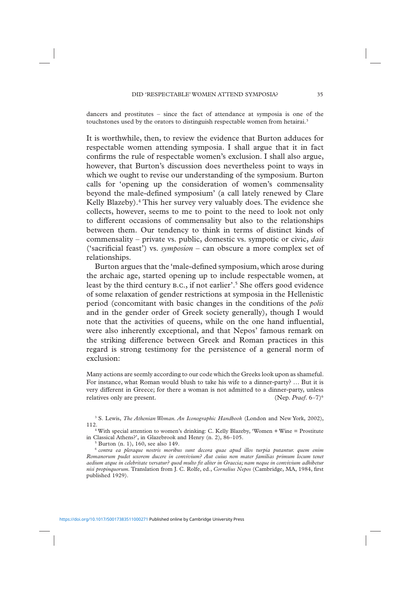dancers and prostitutes – since the fact of attendance at symposia is one of the touchstones used by the orators to distinguish respectable women from hetairai.<sup>3</sup>

It is worthwhile, then, to review the evidence that Burton adduces for respectable women attending symposia. I shall argue that it in fact confirms the rule of respectable women's exclusion. I shall also argue, however, that Burton's discussion does nevertheless point to ways in which we ought to revise our understanding of the symposium. Burton calls for 'opening up the consideration of women's commensality beyond the male-defined symposium' (a call lately renewed by Clare Kelly Blazeby).<sup>4</sup> This her survey very valuably does. The evidence she collects, however, seems to me to point to the need to look not only to different occasions of commensality but also to the relationships between them. Our tendency to think in terms of distinct kinds of commensality – private vs. public, domestic vs. sympotic or civic, *dais* ('sacrificial feast') vs.  $symbosion$  – can obscure a more complex set of relationships.

Burton argues that the 'male-defined symposium, which arose during the archaic age, started opening up to include respectable women, at least by the third century B.C., if not earlier'.<sup>5</sup> She offers good evidence of some relaxation of gender restrictions at symposia in the Hellenistic period (concomitant with basic changes in the conditions of the *polis* and in the gender order of Greek society generally), though I would note that the activities of queens, while on the one hand influential, were also inherently exceptional, and that Nepos' famous remark on the striking difference between Greek and Roman practices in this regard is strong testimony for the persistence of a general norm of exclusion:

Many actions are seemly according to our code which the Greeks look upon as shameful. For instance, what Roman would blush to take his wife to a dinner-party? … But it is very different in Greece; for there a woman is not admitted to a dinner-party, unless relatives only are present. (Nep. *Praef*. 6–7)6

3 S. Lewis, *The Athenian Woman. An Iconographic Handbook* (London and New York, 2002), 112.4 With special attention to women's drinking: C. Kelly Blazeby, 'Women + Wine = Prostitute

in Classical Athens?', in Glazebrook and Henry (n. 2), 86–105.

5 Burton (n. 1), 160, see also 149.

<sup>6</sup>*contra ea pleraque nostris moribus sunt decora quae apud illos turpia putantur. quem enim Romanorum pudet uxorem ducere in convivium? Aut cuius non mater familias primum locum tenet aedium atque in celebritate versatur? quod multo fi t aliter in Graecia; nam neque in convivium adhibetur nisi propinquorum.* Translation from J. C. Rolfe, ed., *Cornelius Nepos* (Cambridge, MA, 1984, first published 1929).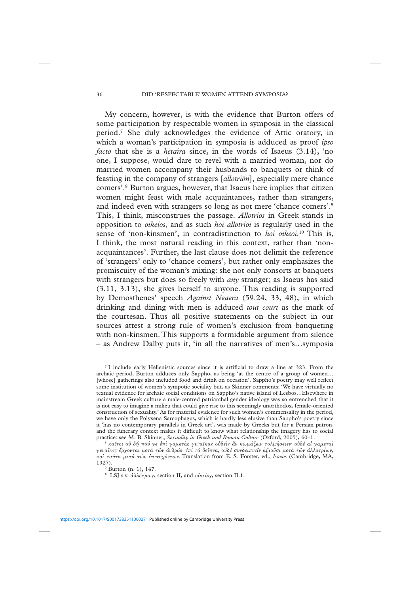My concern, however, is with the evidence that Burton offers of some participation by respectable women in symposia in the classical period.7 She duly acknowledges the evidence of Attic oratory, in which a woman's participation in symposia is adduced as proof *ipso facto* that she is a *hetaira* since, in the words of Isaeus (3.14), 'no one, I suppose, would dare to revel with a married woman, nor do married women accompany their husbands to banquets or think of feasting in the company of strangers [*allotriôn*], especially mere chance comers'.8 Burton argues, however, that Isaeus here implies that citizen women might feast with male acquaintances, rather than strangers, and indeed even with strangers so long as not mere 'chance comers'.<sup>9</sup> This, I think, misconstrues the passage. *Allotrios* in Greek stands in opposition to *oikeios*, and as such *hoi allotrioi* is regularly used in the sense of 'non-kinsmen', in contradistinction to *hoi oikeoi*. 10 This is, I think, the most natural reading in this context, rather than 'nonacquaintances'. Further, the last clause does not delimit the reference of 'strangers' only to 'chance comers', but rather only emphasizes the promiscuity of the woman's mixing: she not only consorts at banquets with strangers but does so freely with *any* stranger; as Isaeus has said (3.11, 3.13), she gives herself to anyone. This reading is supported by Demosthenes' speech *Against Neaera* (59.24, 33, 48), in which drinking and dining with men is adduced *tout court* as the mark of the courtesan. Thus all positive statements on the subject in our sources attest a strong rule of women's exclusion from banqueting with non-kinsmen. This supports a formidable argument from silence – as Andrew Dalby puts it, 'in all the narratives of men's…symposia

 $7$  I include early Hellenistic sources since it is artificial to draw a line at 323. From the archaic period, Burton adduces only Sappho, as being 'at the centre of a group of women… [whose] gatherings also included food and drink on occasion'. Sappho's poetry may well reflect some institution of women's sympotic sociality but, as Skinner comments: 'We have virtually no textual evidence for archaic social conditions on Sappho's native island of Lesbos…Elsewhere in mainstream Greek culture a male-centred patriarchal gender ideology was so entrenched that it is not easy to imagine a milieu that could give rise to this seemingly unorthodox, female-oriented construction of sexuality.' As for material evidence for such women's commensality in the period, we have only the Polyxena Sarcophagus, which is hardly less elusive than Sappho's poetry since it 'has no contemporary parallels in Greek art', was made by Greeks but for a Persian patron, and the funerary context makes it difficult to know what relationship the imagery has to social practice: see M. B. Skinner, *Sexuality in Greek and Roman Culture* (Oxford, 2005), 60–1.

<sup>8</sup>kαίτοι οὐ δή πού γε ἐπὶ γαμετὰς γυναῖκας οὐδεὶς ἂν κωμάζειν τολμήσειεν: οὐδὲ αἱ γαμεταὶ γυναῖκες ἔρχονται μετὰ τῶν ἀνδρῶν ἐπὶ τὰ δεῖπνα, οὐδὲ συνδειπνεῖν ἀξιοῦσι μετὰ τῶν ἀλλοτρίων, καὶ ταῦτα μετὰ τῶν ἐπιτυχόντων. Translation from E. S. Forster, ed., *Isaeus* (Cambridge, MA, 1927).

 $9$  Burton (n. 1), 147.

<sup>10</sup> LSJ s.v.  $\frac{\partial \lambda}{\partial \sigma \rho}$ ιος, section II, and οίκειος, section II.1.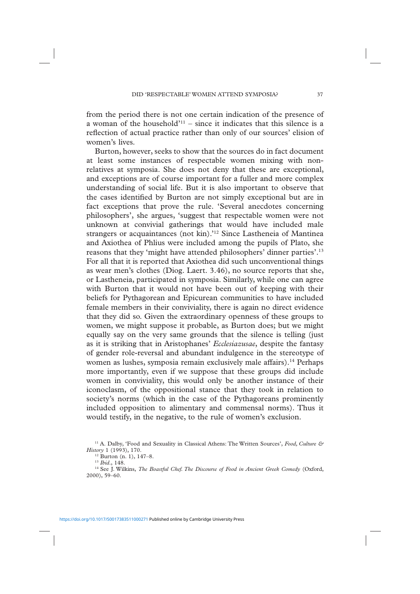from the period there is not one certain indication of the presence of a woman of the household<sup> $211$ </sup> – since it indicates that this silence is a reflection of actual practice rather than only of our sources' elision of women's lives.

Burton, however, seeks to show that the sources do in fact document at least some instances of respectable women mixing with nonrelatives at symposia. She does not deny that these are exceptional, and exceptions are of course important for a fuller and more complex understanding of social life. But it is also important to observe that the cases identified by Burton are not simply exceptional but are in fact exceptions that prove the rule. 'Several anecdotes concerning philosophers', she argues, 'suggest that respectable women were not unknown at convivial gatherings that would have included male strangers or acquaintances (not kin).<sup>'12</sup> Since Lastheneia of Mantinea and Axiothea of Phlius were included among the pupils of Plato, she reasons that they 'might have attended philosophers' dinner parties'.13 For all that it is reported that Axiothea did such unconventional things as wear men's clothes (Diog. Laert. 3.46), no source reports that she, or Lastheneia, participated in symposia. Similarly, while one can agree with Burton that it would not have been out of keeping with their beliefs for Pythagorean and Epicurean communities to have included female members in their conviviality, there is again no direct evidence that they did so. Given the extraordinary openness of these groups to women, we might suppose it probable, as Burton does; but we might equally say on the very same grounds that the silence is telling (just as it is striking that in Aristophanes' *Ecclesiazusae*, despite the fantasy of gender role-reversal and abundant indulgence in the stereotype of women as lushes, symposia remain exclusively male affairs).<sup>14</sup> Perhaps more importantly, even if we suppose that these groups did include women in conviviality, this would only be another instance of their iconoclasm, of the oppositional stance that they took in relation to society's norms (which in the case of the Pythagoreans prominently included opposition to alimentary and commensal norms). Thus it would testify, in the negative, to the rule of women's exclusion.

<sup>11</sup> A. Dalby, 'Food and Sexuality in Classical Athens: The Written Sources', *Food, Culture & History* 1 (1993), 170.

<sup>12</sup> Burton (n. 1), 147–8.

<sup>13</sup>*Ibid*., 148.

<sup>&</sup>lt;sup>14</sup> See J. Wilkins, *The Boastful Chef. The Discourse of Food in Ancient Greek Comedy (Oxford,* 2000), 59–60.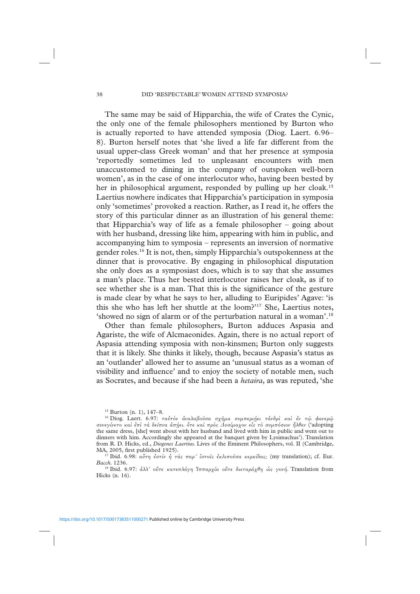The same may be said of Hipparchia, the wife of Crates the Cynic, the only one of the female philosophers mentioned by Burton who is actually reported to have attended symposia (Diog. Laert. 6.96– 8). Burton herself notes that 'she lived a life far different from the usual upper-class Greek woman' and that her presence at symposia 'reportedly sometimes led to unpleasant encounters with men unaccustomed to dining in the company of outspoken well-born women', as in the case of one interlocutor who, having been bested by her in philosophical argument, responded by pulling up her cloak.<sup>15</sup> Laertius nowhere indicates that Hipparchia's participation in symposia only 'sometimes' provoked a reaction. Rather, as I read it, he offers the story of this particular dinner as an illustration of his general theme: that Hipparchia's way of life as a female philosopher – going about with her husband, dressing like him, appearing with him in public, and accompanying him to symposia – represents an inversion of normative gender roles.16 It is not, then, simply Hipparchia's outspokenness at the dinner that is provocative. By engaging in philosophical disputation she only does as a symposiast does, which is to say that she assumes a man's place. Thus her bested interlocutor raises her cloak, as if to see whether she is a man. That this is the significance of the gesture is made clear by what he says to her, alluding to Euripides' Agave: 'is this she who has left her shuttle at the loom?'17 She, Laertius notes, 'showed no sign of alarm or of the perturbation natural in a woman'.18

Other than female philosophers, Burton adduces Aspasia and Agariste, the wife of Alcmaeonides. Again, there is no actual report of Aspasia attending symposia with non-kinsmen; Burton only suggests that it is likely. She thinks it likely, though, because Aspasia's status as an 'outlander' allowed her to assume an 'unusual status as a woman of visibility and influence' and to enjoy the society of notable men, such as Socrates, and because if she had been a *hetaira*, as was reputed, 'she

<sup>15</sup> Burton (n. 1), 147–8.

<sup>&</sup>lt;sup>16</sup> Diog. Laert. 6.97: ταὐτὸν ἀναλαβοῦσα σχήμα συμπεριήει τἀνδρὶ καὶ ἐν τῷ φανερῷ συνεγίνετο καὶ ἐπὶ τὰ δεῖπνα ἀπῄει. ὅτε καὶ πρὸς Λυσίμαχον εἰς τὸ συμπόσιον ἦλθεν ('adopting the same dress, [she] went about with her husband and lived with him in public and went out to dinners with him. Accordingly she appeared at the banquet given by Lysimachus'). Translation from R. D. Hicks, ed., *Diogenes Laertius.* Lives of the Eminent Philosophers, vol. II (Cambridge, MA, 2005, first published 1925).

<sup>&</sup>lt;sup>17</sup> Ibid. 6.98: αύτη έστιν ή τάς παρ' ίστοις έκλιπούσα κερκίδας; (my translation); cf. Eur. *Bacch.* 1236.

<sup>18</sup> Ibid. 6.97: ἀλλ̓ οὔτε κατεπλάγη Ἱππαρχία οὔτε διεταράχθη ὡς γυνή. Translation from Hicks (n. 16).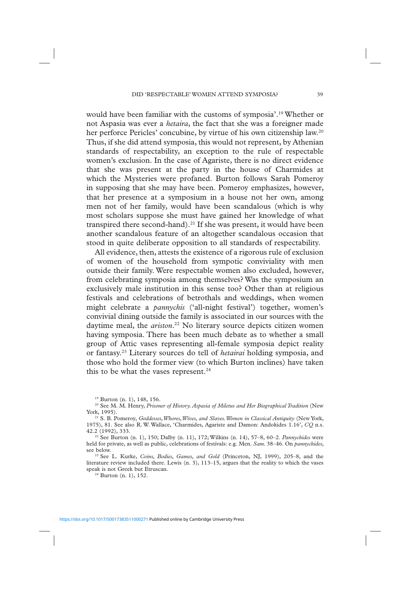would have been familiar with the customs of symposia'.19 Whether or not Aspasia was ever a *hetaira*, the fact that she was a foreigner made her perforce Pericles' concubine, by virtue of his own citizenship law.<sup>20</sup> Thus, if she did attend symposia, this would not represent, by Athenian standards of respectability, an exception to the rule of respectable women's exclusion. In the case of Agariste, there is no direct evidence that she was present at the party in the house of Charmides at which the Mysteries were profaned. Burton follows Sarah Pomeroy in supposing that she may have been. Pomeroy emphasizes, however, that her presence at a symposium in a house not her own, among men not of her family, would have been scandalous (which is why most scholars suppose she must have gained her knowledge of what transpired there second-hand).<sup>21</sup> If she was present, it would have been another scandalous feature of an altogether scandalous occasion that stood in quite deliberate opposition to all standards of respectability.

All evidence, then, attests the existence of a rigorous rule of exclusion of women of the household from sympotic conviviality with men outside their family. Were respectable women also excluded, however, from celebrating symposia among themselves? Was the symposium an exclusively male institution in this sense too? Other than at religious festivals and celebrations of betrothals and weddings, when women might celebrate a *pannychis* ('all-night festival') together, women's convivial dining outside the family is associated in our sources with the daytime meal, the *ariston*. 22 No literary source depicts citizen women having symposia. There has been much debate as to whether a small group of Attic vases representing all-female symposia depict reality or fantasy.23 Literary sources do tell of *hetairai* holding symposia, and those who hold the former view (to which Burton inclines) have taken this to be what the vases represent. $24$ 

19 Burton (n. 1), 148, 156.

<sup>20</sup> See M. M. Henry, *Prisoner of History. Aspasia of Miletus and Her Biographical Tradition* (New York, 1995).

literature review included there. Lewis (n. 3), 113–15, argues that the reality to which the vases speak is not Greek but Etruscan.

24 Burton (n. 1), 152.

<sup>&</sup>lt;sup>21</sup> S. B. Pomeroy, *Goddesses, Whores, Wives, and Slaves. Women in Classical Antiquity* (New York, 1975), 81. See also R. W. Wallace, 'Charmides, Agariste and Damon: Andokides 1.16', *CQ* n.s. 42.2 (1992), 333.

<sup>22</sup> See Burton (n. 1), 150; Dalby (n. 11), 172; Wilkins (n. 14), 57–8, 60–2. *Pannychides* were held for private, as well as public, celebrations of festivals: e.g. Men. *Sam.* 38–46. On *pannychides*, see below. 23 See L. Kurke, *Coins, Bodies, Games, and Gold* (Princeton, NJ, 1999), 205–8, and the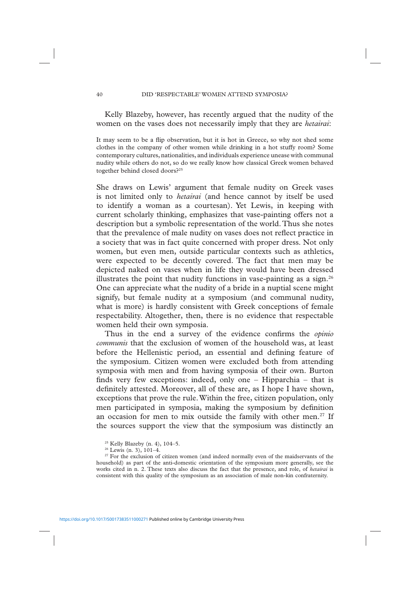Kelly Blazeby, however, has recently argued that the nudity of the women on the vases does not necessarily imply that they are *hetairai*:

It may seem to be a flip observation, but it is hot in Greece, so why not shed some clothes in the company of other women while drinking in a hot stuffy room? Some contemporary cultures, nationalities, and individuals experience unease with communal nudity while others do not, so do we really know how classical Greek women behaved together behind closed doors?25

She draws on Lewis' argument that female nudity on Greek vases is not limited only to *hetairai* (and hence cannot by itself be used to identify a woman as a courtesan). Yet Lewis, in keeping with current scholarly thinking, emphasizes that vase-painting offers not a description but a symbolic representation of the world. Thus she notes that the prevalence of male nudity on vases does not reflect practice in a society that was in fact quite concerned with proper dress. Not only women, but even men, outside particular contexts such as athletics, were expected to be decently covered. The fact that men may be depicted naked on vases when in life they would have been dressed illustrates the point that nudity functions in vase-painting as a sign.<sup>26</sup> One can appreciate what the nudity of a bride in a nuptial scene might signify, but female nudity at a symposium (and communal nudity, what is more) is hardly consistent with Greek conceptions of female respectability. Altogether, then, there is no evidence that respectable women held their own symposia.

Thus in the end a survey of the evidence confirms the *opinio communis* that the exclusion of women of the household was, at least before the Hellenistic period, an essential and defining feature of the symposium. Citizen women were excluded both from attending symposia with men and from having symposia of their own. Burton finds very few exceptions: indeed, only one  $-$  Hipparchia  $-$  that is definitely attested. Moreover, all of these are, as I hope I have shown, exceptions that prove the rule. Within the free, citizen population, only men participated in symposia, making the symposium by definition an occasion for men to mix outside the family with other men.<sup>27</sup> If the sources support the view that the symposium was distinctly an

<sup>25</sup> Kelly Blazeby (n. 4), 104–5.

<sup>26</sup> Lewis (n. 3), 101–4.

<sup>&</sup>lt;sup>27</sup> For the exclusion of citizen women (and indeed normally even of the maidservants of the household) as part of the anti-domestic orientation of the symposium more generally, see the works cited in n. 2. These texts also discuss the fact that the presence, and role, of *hetairai* is consistent with this quality of the symposium as an association of male non-kin confraternity.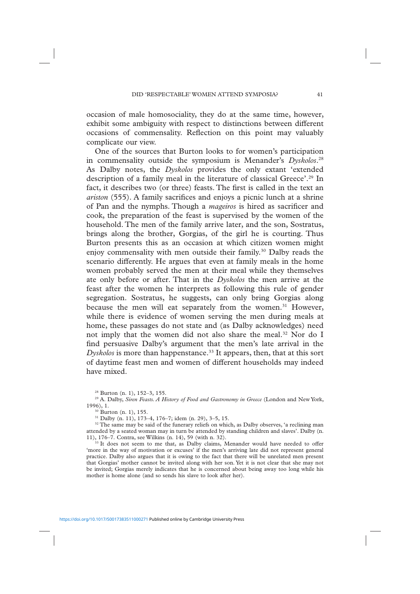occasion of male homosociality, they do at the same time, however, exhibit some ambiguity with respect to distinctions between different occasions of commensality. Reflection on this point may valuably complicate our view.

One of the sources that Burton looks to for women's participation in commensality outside the symposium is Menander's *Dyskolos*. 28 As Dalby notes, the *Dyskolos* provides the only extant 'extended description of a family meal in the literature of classical Greece'.29 In fact, it describes two (or three) feasts. The first is called in the text an *ariston* (555). A family sacrifices and enjoys a picnic lunch at a shrine of Pan and the nymphs. Though a *mageiros* is hired as sacrificer and cook, the preparation of the feast is supervised by the women of the household. The men of the family arrive later, and the son, Sostratus, brings along the brother, Gorgias, of the girl he is courting. Thus Burton presents this as an occasion at which citizen women might enjoy commensality with men outside their family.<sup>30</sup> Dalby reads the scenario differently. He argues that even at family meals in the home women probably served the men at their meal while they themselves ate only before or after. That in the *Dyskolos* the men arrive at the feast after the women he interprets as following this rule of gender segregation. Sostratus, he suggests, can only bring Gorgias along because the men will eat separately from the women.<sup>31</sup> However, while there is evidence of women serving the men during meals at home, these passages do not state and (as Dalby acknowledges) need not imply that the women did not also share the meal.<sup>32</sup> Nor do I find persuasive Dalby's argument that the men's late arrival in the *Dyskolos* is more than happenstance.<sup>33</sup> It appears, then, that at this sort of daytime feast men and women of different households may indeed have mixed.

28 Burton (n. 1), 152–3, 155.

<sup>29</sup> A. Dalby, *Siren Feasts. A History of Food and Gastronomy in Greece* (London and New York, 1996), 1.

30 Burton (n. 1), 155.

31 Dalby (n. 11), 173–4, 176–7; idem (n. 29), 3–5, 15.

<sup>32</sup> The same may be said of the funerary reliefs on which, as Dalby observes, 'a reclining man attended by a seated woman may in turn be attended by standing children and slaves'. Dalby (n. 11), 176–7. Contra, see Wilkins (n. 14), 59 (with n. 32).

<sup>33</sup> It does not seem to me that, as Dalby claims, Menander would have needed to offer 'more in the way of motivation or excuses' if the men's arriving late did not represent general practice. Dalby also argues that it is owing to the fact that there will be unrelated men present that Gorgias' mother cannot be invited along with her son. Yet it is not clear that she may not be invited; Gorgias merely indicates that he is concerned about being away too long while his mother is home alone (and so sends his slave to look after her).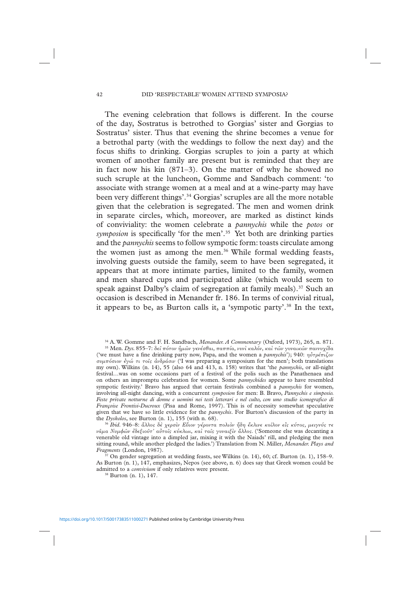The evening celebration that follows is different. In the course of the day, Sostratus is betrothed to Gorgias' sister and Gorgias to Sostratus' sister. Thus that evening the shrine becomes a venue for a betrothal party (with the weddings to follow the next day) and the focus shifts to drinking. Gorgias scruples to join a party at which women of another family are present but is reminded that they are in fact now his kin (871–3). On the matter of why he showed no such scruple at the luncheon, Gomme and Sandbach comment: 'to associate with strange women at a meal and at a wine-party may have been very different things'.<sup>34</sup> Gorgias' scruples are all the more notable given that the celebration is segregated. The men and women drink in separate circles, which, moreover, are marked as distinct kinds of conviviality: the women celebrate a *pannychis* while the *potos* or *symposion* is specifically 'for the men'.<sup>35</sup> Yet both are drinking parties and the *pannychis* seems to follow sympotic form: toasts circulate among the women just as among the men.<sup>36</sup> While formal wedding feasts, involving guests outside the family, seem to have been segregated, it appears that at more intimate parties, limited to the family, women and men shared cups and participated alike (which would seem to speak against Dalby's claim of segregation at family meals).<sup>37</sup> Such an occasion is described in Menander fr. 186. In terms of convivial ritual, it appears to be, as Burton calls it, a 'sympotic party'.38 In the text,

34 A. W. Gomme and F. H. Sandbach, *Menander. A Commentary* (Oxford, 1973), 265, n. 871. 35 Men. *Dys.* 855–7: δεῖ πότον ἡμῶν γενέσθαι, παππία, νυνὶ καλόν, καὶ τῶν γυναικῶν παννυχίδα

('we must have a fine drinking party now, Papa, and the women a *pannychis'*); 940:  $\eta \nu \tau \rho \epsilon \pi \nu \zeta \sigma \nu$ συμπόσιον ἐγώ τι τοῖς ἀνδράσιν ('I was preparing a symposium for the men'; both translations my own). Wilkins (n. 14), 55 (also 64 and 413, n. 158) writes that 'the *pannychis*, or all-night festival…was on some occasions part of a festival of the polis such as the Panathenaea and on others an impromptu celebration for women. Some *pannychides* appear to have resembled sympotic festivity.' Bravo has argued that certain festivals combined a *pannychis* for women, involving all-night dancing, with a concurrent *symposion* for men: B. Bravo, *Pannychis e simposio.*  Feste private notturne di donne e uomini nei testi letterari e nel culto, con uno studio iconografico di *Françoise Frontisi-Ducroux* (Pisa and Rome, 1997). This is of necessity somewhat speculative given that we have so little evidence for the *pannychis*. For Burton's discussion of the party in the *Dyskolos*, see Burton (n. 1), 155 (with n. 68).

<sup>36</sup>*Ibid*. 946–8: ἄλλος δὲ χερσὶν Εὔιον γέροντα πολιὸν ἤδη ἔκλινε κοῖλον εἰς κύτος, μειγνύς τε νᾶμα Νυμφῶν ἐδεξιοῦτ̓ αὐτοῖς κύκλωι, καὶ ταῖς γυναιξὶν ἄλλος. ('Someone else was decanting a venerable old vintage into a dimpled jar, mixing it with the Naiads' rill, and pledging the men sitting round, while another pledged the ladies.') Translation from N. Miller, *Menander. Plays and Fragments* (London, 1987).

37 On gender segregation at wedding feasts, see Wilkins (n. 14), 60; cf. Burton (n. 1), 158–9. As Burton (n. 1), 147, emphasizes, Nepos (see above, n. 6) does say that Greek women could be admitted to a *convivium* if only relatives were present.

38 Burton (n. 1), 147.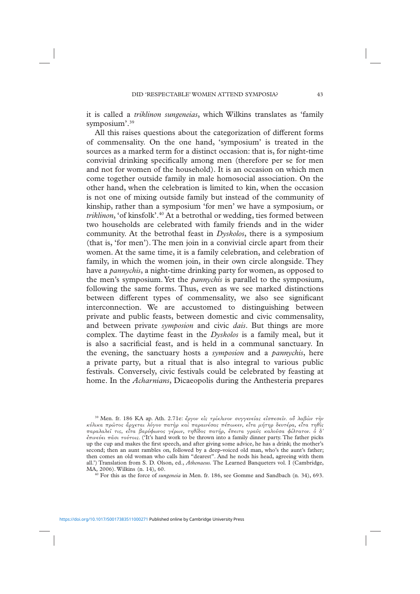it is called a *triklinon sungeneias*, which Wilkins translates as 'family symposium'.<sup>39</sup>

All this raises questions about the categorization of different forms of commensality. On the one hand, 'symposium' is treated in the sources as a marked term for a distinct occasion: that is, for night-time convivial drinking specifically among men (therefore per se for men and not for women of the household). It is an occasion on which men come together outside family in male homosocial association. On the other hand, when the celebration is limited to kin, when the occasion is not one of mixing outside family but instead of the community of kinship, rather than a symposium 'for men' we have a symposium, or *triklinon*, 'of kinsfolk'.<sup>40</sup> At a betrothal or wedding, ties formed between two households are celebrated with family friends and in the wider community. At the betrothal feast in *Dyskolos*, there is a symposium (that is, 'for men'). The men join in a convivial circle apart from their women. At the same time, it is a family celebration, and celebration of family, in which the women join, in their own circle alongside. They have a *pannychis*, a night-time drinking party for women, as opposed to the men's symposium. Yet the *pannychis* is parallel to the symposium, following the same forms. Thus, even as we see marked distinctions between different types of commensality, we also see significant interconnection. We are accustomed to distinguishing between private and public feasts, between domestic and civic commensality, and between private *symposion* and civic *dais*. But things are more complex. The daytime feast in the *Dyskolos* is a family meal, but it is also a sacrificial feast, and is held in a communal sanctuary. In the evening, the sanctuary hosts a *symposion* and a *pannychis*, here a private party, but a ritual that is also integral to various public festivals. Conversely, civic festivals could be celebrated by feasting at home. In the *Acharnians*, Dicaeopolis during the Anthesteria prepares

39 Men. fr. 186 KA ap. Ath. 2.71e: ἔργον εἰς τρίκλινον συγγενείας εἰσπεσεῖν. οὗ λαβὼν τὴν κύλικα πρῶτος ἄρχεται λόγου πατὴρ καὶ παραινέσας πέπωκεν, εἶτα μήτηρ δευτέρα, εἶτα τηθὶς παραλαλεῖ τις, εἶτα βαρύφωνος γέρων, τηθίδος πατήρ, ἔπειτα γραῦς καλοῦσα φίλτατον. ὁ δ̓ ἐπινεύει πᾶσι τούτοις. ('It's hard work to be thrown into a family dinner party. The father picks up the cup and makes the first speech, and after giving some advice, he has a drink; the mother's second; then an aunt rambles on, followed by a deep-voiced old man, who's the aunt's father; then comes an old woman who calls him "dearest". And he nods his head, agreeing with them all.') Translation from S. D. Olson, ed., *Athenaeus.* The Learned Banqueters vol. I (Cambridge, MA, 2006). Wilkins (n. 14), 60.

40 For this as the force of *sungeneia* in Men. fr. 186, see Gomme and Sandbach (n. 34), 693.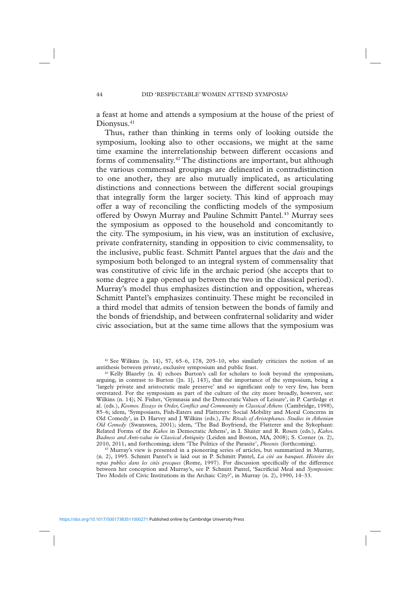a feast at home and attends a symposium at the house of the priest of Dionysus.<sup>41</sup>

Thus, rather than thinking in terms only of looking outside the symposium, looking also to other occasions, we might at the same time examine the interrelationship between different occasions and forms of commensality.42 The distinctions are important, but although the various commensal groupings are delineated in contradistinction to one another, they are also mutually implicated, as articulating distinctions and connections between the different social groupings that integrally form the larger society. This kind of approach may offer a way of reconciling the conflicting models of the symposium offered by Oswyn Murray and Pauline Schmitt Pantel.<sup>43</sup> Murray sees the symposium as opposed to the household and concomitantly to the city. The symposium, in his view, was an institution of exclusive, private confraternity, standing in opposition to civic commensality, to the inclusive, public feast. Schmitt Pantel argues that the *dais* and the symposium both belonged to an integral system of commensality that was constitutive of civic life in the archaic period (she accepts that to some degree a gap opened up between the two in the classical period). Murray's model thus emphasizes distinction and opposition, whereas Schmitt Pantel's emphasizes continuity. These might be reconciled in a third model that admits of tension between the bonds of family and the bonds of friendship, and between confraternal solidarity and wider civic association, but at the same time allows that the symposium was

 $41$  See Wilkins (n. 14), 57, 65–6, 178, 205–10, who similarly criticizes the notion of an antithesis between private, exclusive symposium and public feast.

<sup>42</sup> Kelly Blazeby (n. 4) echoes Burton's call for scholars to look beyond the symposium, arguing, in contrast to Burton ([n. 1], 143), that the importance of the symposium, being a 'largely private and aristocratic male preserve' and so significant only to very few, has been overstated. For the symposium as part of the culture of the city more broadly, however, see: Wilkins (n. 14); N. Fisher, 'Gymnasia and the Democratic Values of Leisure', in P. Cartledge et al. (eds.), *Kosmos. Essays in Order, Conflict and Community in Classical Athens* (Cambridge, 1998), 85–6; idem, 'Symposiasts, Fish-Eaters and Flatterers: Social Mobility and Moral Concerns in Old Comedy', in D. Harvey and J. Wilkins (eds.), *The Rivals of Aristophanes. Studies in Athenian Old Comedy* (Swanswea, 2001); idem, 'The Bad Boyfriend, the Flatterer and the Sykophant: Related Forms of the *Kakos* in Democratic Athens', in I. Sluiter and R. Rosen (eds.), *Kakos. Badness and Anti-value in Classical Antiquity* (Leiden and Boston, MA, 2008); S. Corner (n. 2), 2010, 2011, and forthcoming; idem 'The Politics of the Parasite', *Phoenix* (forthcoming).

43 Murray's view is presented in a pioneering series of articles, but summarized in Murray, (n. 2), 1995. Schmitt Pantel's is laid out in P. Schmitt Pantel, *La cité au banquet. Histoire des*  repas publics dans les cités grecques (Rome, 1997). For discussion specifically of the difference between her conception and Murray's, see P. Schmitt Pantel, 'Sacrificial Meal and Symposion: Two Models of Civic Institutions in the Archaic City?', in Murray (n. 2), 1990, 14–33.